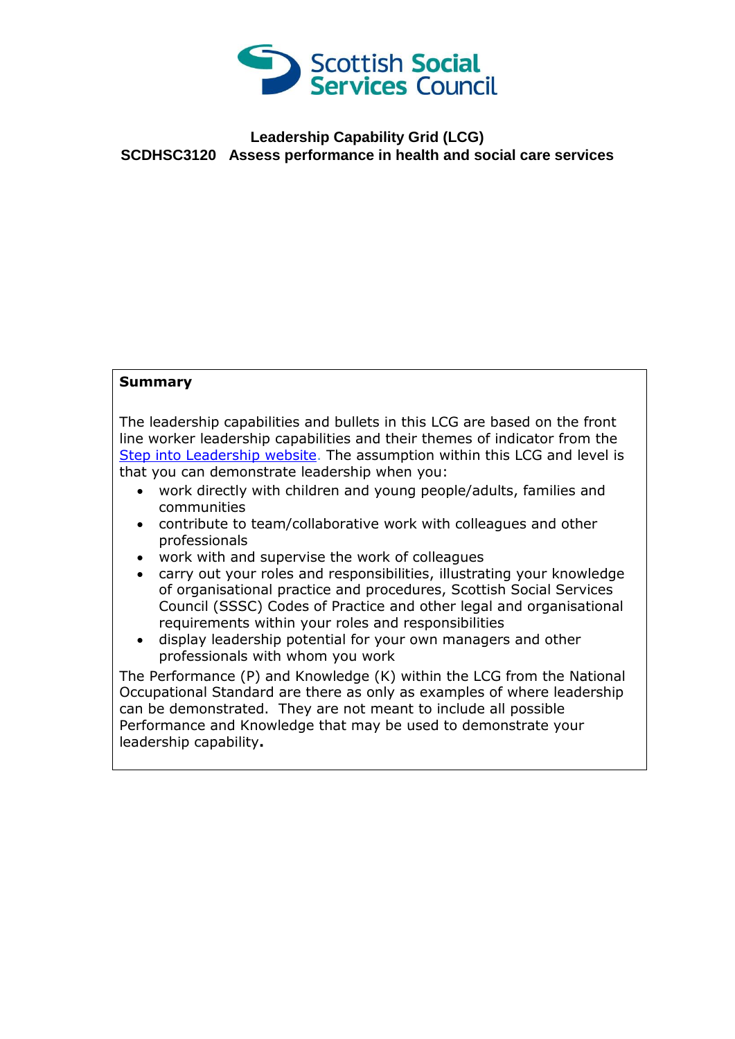

## **Leadership Capability Grid (LCG) SCDHSC3120 Assess performance in health and social care services**

## **Summary**

The leadership capabilities and bullets in this LCG are based on the front line worker leadership capabilities and their themes of indicator from the [Step into Leadership website.](http://www.stepintoleadership.info/) The assumption within this LCG and level is that you can demonstrate leadership when you:

- work directly with children and young people/adults, families and communities
- contribute to team/collaborative work with colleagues and other professionals
- work with and supervise the work of colleagues
- carry out your roles and responsibilities, illustrating your knowledge of organisational practice and procedures, Scottish Social Services Council (SSSC) Codes of Practice and other legal and organisational requirements within your roles and responsibilities
- display leadership potential for your own managers and other professionals with whom you work

The Performance (P) and Knowledge (K) within the LCG from the National Occupational Standard are there as only as examples of where leadership can be demonstrated. They are not meant to include all possible Performance and Knowledge that may be used to demonstrate your leadership capability**.**